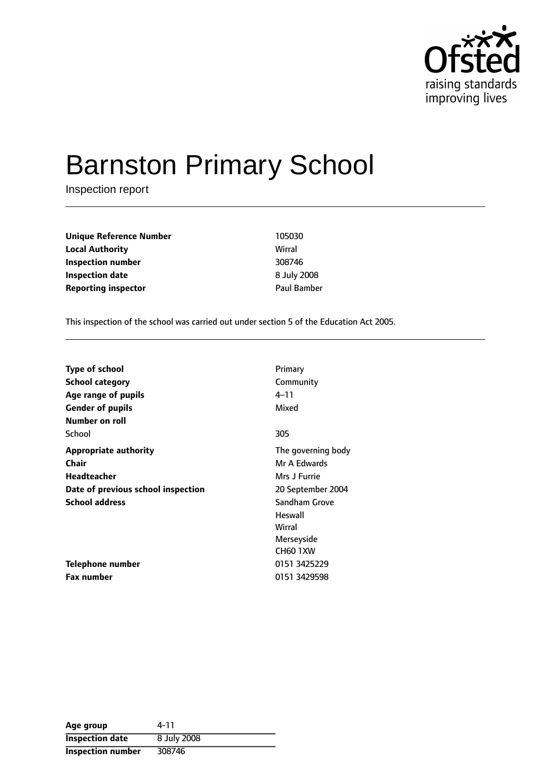

# Barnston Primary School

Inspection report

**Unique Reference Number** 105030 **Local Authority** Wirral **Inspection number** 308746 **Inspection date** 8 July 2008 **Reporting inspector CONSERVING PAUL BAMBER** 

This inspection of the school was carried out under section 5 of the Education Act 2005.

| <b>Type of school</b>              | Primary            |
|------------------------------------|--------------------|
| <b>School category</b>             | Community          |
| Age range of pupils                | 4–11               |
| <b>Gender of pupils</b>            | Mixed              |
| <b>Number on roll</b>              |                    |
| School                             | 305                |
| <b>Appropriate authority</b>       | The governing body |
| Chair                              | Mr A Edwards       |
| <b>Headteacher</b>                 | Mrs J Furrie       |
| Date of previous school inspection | 20 September 2004  |
| <b>School address</b>              | Sandham Grove      |
|                                    | Heswall            |
|                                    | Wirral             |
|                                    | Merseyside         |
|                                    | <b>CH60 1XW</b>    |
| <b>Telephone number</b>            | 0151 3425229       |
| <b>Fax number</b>                  | 0151 3429598       |

| Age group                | 4-11        |
|--------------------------|-------------|
| <b>Inspection date</b>   | 8 July 2008 |
| <b>Inspection number</b> | 308746      |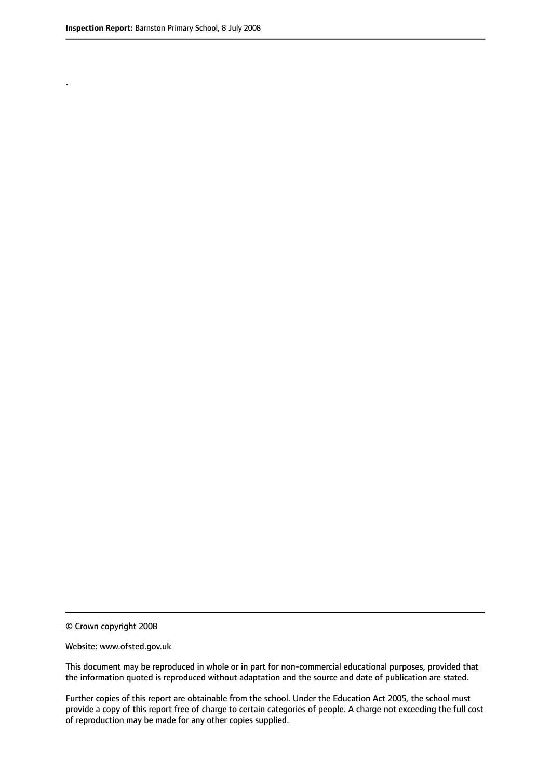.

© Crown copyright 2008

#### Website: www.ofsted.gov.uk

This document may be reproduced in whole or in part for non-commercial educational purposes, provided that the information quoted is reproduced without adaptation and the source and date of publication are stated.

Further copies of this report are obtainable from the school. Under the Education Act 2005, the school must provide a copy of this report free of charge to certain categories of people. A charge not exceeding the full cost of reproduction may be made for any other copies supplied.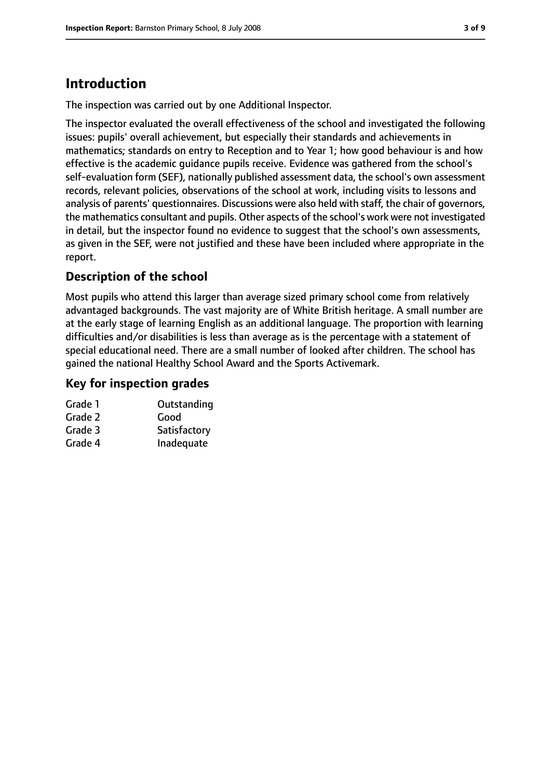# **Introduction**

The inspection was carried out by one Additional Inspector.

The inspector evaluated the overall effectiveness of the school and investigated the following issues: pupils' overall achievement, but especially their standards and achievements in mathematics; standards on entry to Reception and to Year 1; how good behaviour is and how effective is the academic guidance pupils receive. Evidence was gathered from the school's self-evaluation form (SEF), nationally published assessment data, the school's own assessment records, relevant policies, observations of the school at work, including visits to lessons and analysis of parents' questionnaires. Discussions were also held with staff, the chair of governors, the mathematics consultant and pupils. Other aspects of the school's work were not investigated in detail, but the inspector found no evidence to suggest that the school's own assessments, as given in the SEF, were not justified and these have been included where appropriate in the report.

### **Description of the school**

Most pupils who attend this larger than average sized primary school come from relatively advantaged backgrounds. The vast majority are of White British heritage. A small number are at the early stage of learning English as an additional language. The proportion with learning difficulties and/or disabilities is less than average as is the percentage with a statement of special educational need. There are a small number of looked after children. The school has gained the national Healthy School Award and the Sports Activemark.

#### **Key for inspection grades**

| Grade 1 | Outstanding  |
|---------|--------------|
| Grade 2 | Good         |
| Grade 3 | Satisfactory |
| Grade 4 | Inadequate   |
|         |              |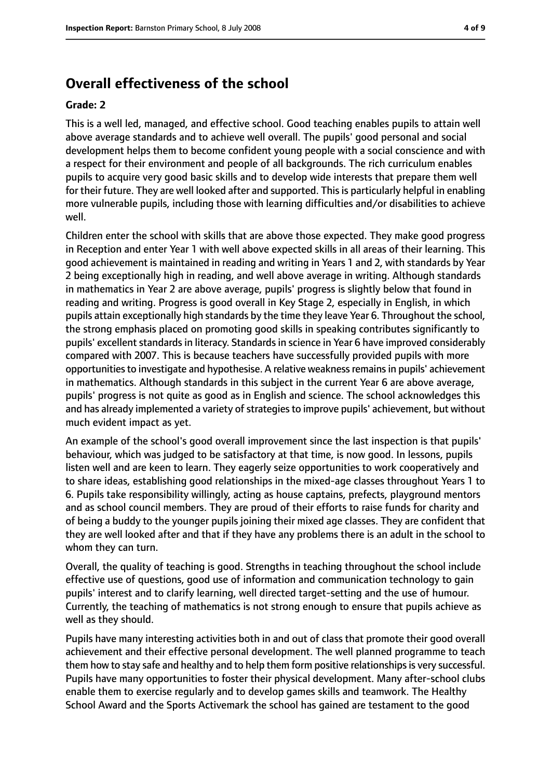## **Overall effectiveness of the school**

#### **Grade: 2**

This is a well led, managed, and effective school. Good teaching enables pupils to attain well above average standards and to achieve well overall. The pupils' good personal and social development helps them to become confident young people with a social conscience and with a respect for their environment and people of all backgrounds. The rich curriculum enables pupils to acquire very good basic skills and to develop wide interests that prepare them well for their future. They are well looked after and supported. This is particularly helpful in enabling more vulnerable pupils, including those with learning difficulties and/or disabilities to achieve well.

Children enter the school with skills that are above those expected. They make good progress in Reception and enter Year 1 with well above expected skills in all areas of their learning. This good achievement is maintained in reading and writing in Years 1 and 2, with standards by Year 2 being exceptionally high in reading, and well above average in writing. Although standards in mathematics in Year 2 are above average, pupils' progress is slightly below that found in reading and writing. Progress is good overall in Key Stage 2, especially in English, in which pupils attain exceptionally high standards by the time they leave Year 6. Throughout the school, the strong emphasis placed on promoting good skills in speaking contributes significantly to pupils' excellent standards in literacy. Standards in science in Year 6 have improved considerably compared with 2007. This is because teachers have successfully provided pupils with more opportunitiesto investigate and hypothesise. A relative weaknessremainsin pupils' achievement in mathematics. Although standards in this subject in the current Year 6 are above average, pupils' progress is not quite as good as in English and science. The school acknowledges this and has already implemented a variety of strategies to improve pupils' achievement, but without much evident impact as yet.

An example of the school's good overall improvement since the last inspection is that pupils' behaviour, which was judged to be satisfactory at that time, is now good. In lessons, pupils listen well and are keen to learn. They eagerly seize opportunities to work cooperatively and to share ideas, establishing good relationships in the mixed-age classes throughout Years 1 to 6. Pupils take responsibility willingly, acting as house captains, prefects, playground mentors and as school council members. They are proud of their efforts to raise funds for charity and of being a buddy to the younger pupils joining their mixed age classes. They are confident that they are well looked after and that if they have any problems there is an adult in the school to whom they can turn.

Overall, the quality of teaching is good. Strengths in teaching throughout the school include effective use of questions, good use of information and communication technology to gain pupils' interest and to clarify learning, well directed target-setting and the use of humour. Currently, the teaching of mathematics is not strong enough to ensure that pupils achieve as well as they should.

Pupils have many interesting activities both in and out of class that promote their good overall achievement and their effective personal development. The well planned programme to teach them how to stay safe and healthy and to help them form positive relationships is very successful. Pupils have many opportunities to foster their physical development. Many after-school clubs enable them to exercise regularly and to develop games skills and teamwork. The Healthy School Award and the Sports Activemark the school has gained are testament to the good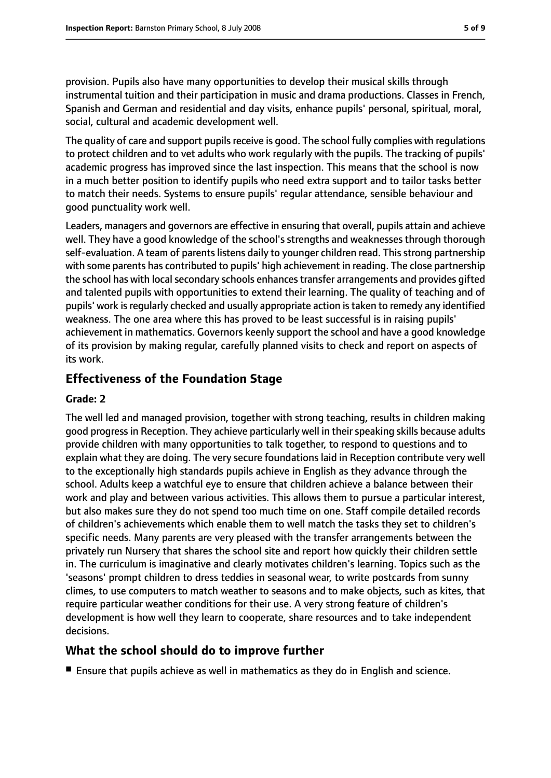provision. Pupils also have many opportunities to develop their musical skills through instrumental tuition and their participation in music and drama productions. Classes in French, Spanish and German and residential and day visits, enhance pupils' personal, spiritual, moral, social, cultural and academic development well.

The quality of care and support pupils receive is good. The school fully complies with regulations to protect children and to vet adults who work regularly with the pupils. The tracking of pupils' academic progress has improved since the last inspection. This means that the school is now in a much better position to identify pupils who need extra support and to tailor tasks better to match their needs. Systems to ensure pupils' regular attendance, sensible behaviour and good punctuality work well.

Leaders, managers and governors are effective in ensuring that overall, pupils attain and achieve well. They have a good knowledge of the school's strengths and weaknesses through thorough self-evaluation. A team of parents listens daily to younger children read. This strong partnership with some parents has contributed to pupils' high achievement in reading. The close partnership the school has with local secondary schools enhances transfer arrangements and provides gifted and talented pupils with opportunities to extend their learning. The quality of teaching and of pupils' work isregularly checked and usually appropriate action istaken to remedy any identified weakness. The one area where this has proved to be least successful is in raising pupils' achievement in mathematics. Governors keenly support the school and have a good knowledge of its provision by making regular, carefully planned visits to check and report on aspects of its work.

#### **Effectiveness of the Foundation Stage**

#### **Grade: 2**

The well led and managed provision, together with strong teaching, results in children making good progress in Reception. They achieve particularly well in their speaking skills because adults provide children with many opportunities to talk together, to respond to questions and to explain what they are doing. The very secure foundations laid in Reception contribute very well to the exceptionally high standards pupils achieve in English as they advance through the school. Adults keep a watchful eye to ensure that children achieve a balance between their work and play and between various activities. This allows them to pursue a particular interest, but also makes sure they do not spend too much time on one. Staff compile detailed records of children's achievements which enable them to well match the tasks they set to children's specific needs. Many parents are very pleased with the transfer arrangements between the privately run Nursery that shares the school site and report how quickly their children settle in. The curriculum is imaginative and clearly motivates children's learning. Topics such as the 'seasons' prompt children to dress teddies in seasonal wear, to write postcards from sunny climes, to use computers to match weather to seasons and to make objects, such as kites, that require particular weather conditions for their use. A very strong feature of children's development is how well they learn to cooperate, share resources and to take independent decisions.

#### **What the school should do to improve further**

■ Ensure that pupils achieve as well in mathematics as they do in English and science.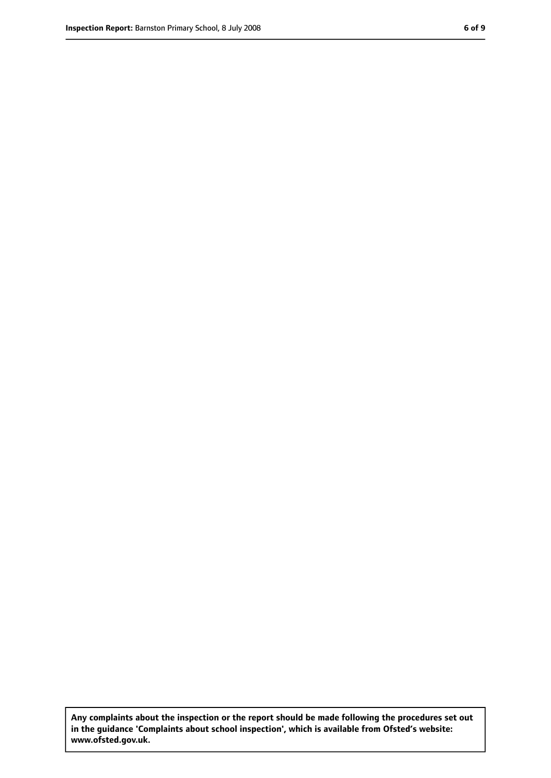**Any complaints about the inspection or the report should be made following the procedures set out in the guidance 'Complaints about school inspection', which is available from Ofsted's website: www.ofsted.gov.uk.**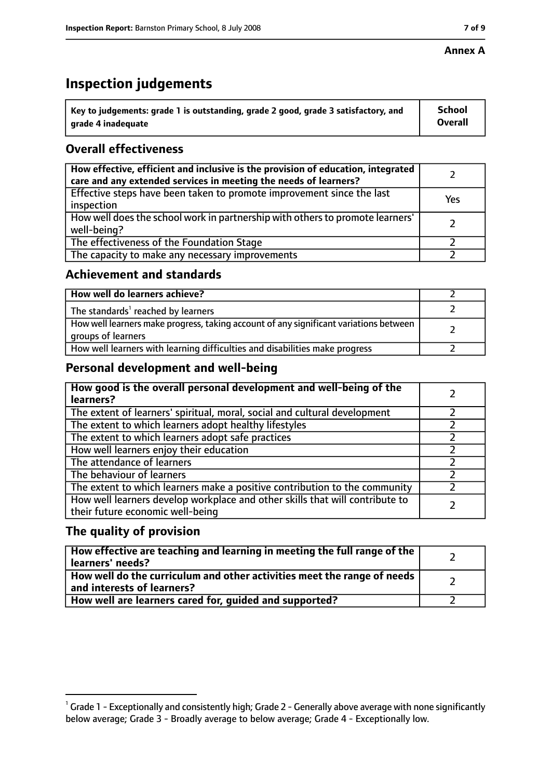#### **Annex A**

## **Inspection judgements**

| $^{\circ}$ Key to judgements: grade 1 is outstanding, grade 2 good, grade 3 satisfactory, and | <b>School</b>  |
|-----------------------------------------------------------------------------------------------|----------------|
| arade 4 inadequate                                                                            | <b>Overall</b> |

## **Overall effectiveness**

| How effective, efficient and inclusive is the provision of education, integrated<br>care and any extended services in meeting the needs of learners? |     |
|------------------------------------------------------------------------------------------------------------------------------------------------------|-----|
| Effective steps have been taken to promote improvement since the last<br>inspection                                                                  | Yes |
| How well does the school work in partnership with others to promote learners'<br>well-being?                                                         |     |
| The effectiveness of the Foundation Stage                                                                                                            |     |
| The capacity to make any necessary improvements                                                                                                      |     |

#### **Achievement and standards**

| How well do learners achieve?                                                                               |  |
|-------------------------------------------------------------------------------------------------------------|--|
| The standards <sup>1</sup> reached by learners                                                              |  |
| How well learners make progress, taking account of any significant variations between<br>groups of learners |  |
| How well learners with learning difficulties and disabilities make progress                                 |  |

#### **Personal development and well-being**

| How good is the overall personal development and well-being of the<br>learners?                                  |  |
|------------------------------------------------------------------------------------------------------------------|--|
| The extent of learners' spiritual, moral, social and cultural development                                        |  |
| The extent to which learners adopt healthy lifestyles                                                            |  |
| The extent to which learners adopt safe practices                                                                |  |
| How well learners enjoy their education                                                                          |  |
| The attendance of learners                                                                                       |  |
| The behaviour of learners                                                                                        |  |
| The extent to which learners make a positive contribution to the community                                       |  |
| How well learners develop workplace and other skills that will contribute to<br>their future economic well-being |  |

#### **The quality of provision**

| How effective are teaching and learning in meeting the full range of the<br>learners' needs?          |  |
|-------------------------------------------------------------------------------------------------------|--|
| How well do the curriculum and other activities meet the range of needs<br>and interests of learners? |  |
| How well are learners cared for, quided and supported?                                                |  |

 $^1$  Grade 1 - Exceptionally and consistently high; Grade 2 - Generally above average with none significantly below average; Grade 3 - Broadly average to below average; Grade 4 - Exceptionally low.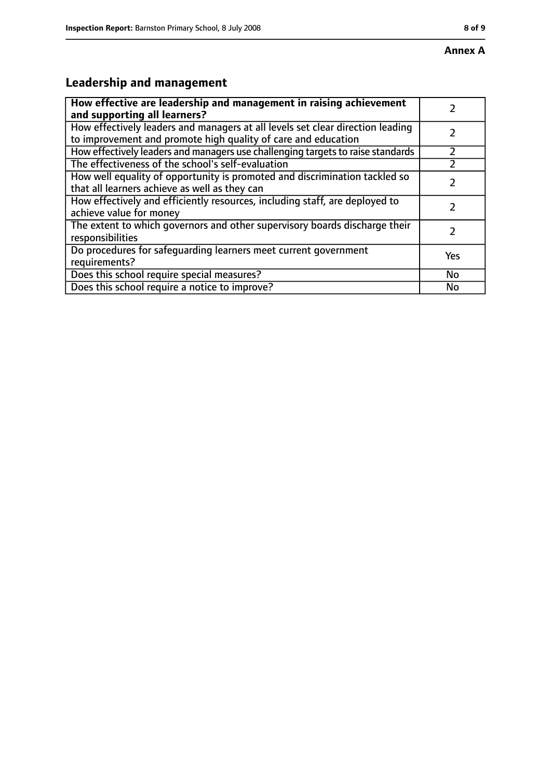# **Leadership and management**

| How effective are leadership and management in raising achievement<br>and supporting all learners?                                              |     |
|-------------------------------------------------------------------------------------------------------------------------------------------------|-----|
| How effectively leaders and managers at all levels set clear direction leading<br>to improvement and promote high quality of care and education |     |
| How effectively leaders and managers use challenging targets to raise standards                                                                 |     |
| The effectiveness of the school's self-evaluation                                                                                               |     |
| How well equality of opportunity is promoted and discrimination tackled so<br>that all learners achieve as well as they can                     |     |
| How effectively and efficiently resources, including staff, are deployed to<br>achieve value for money                                          |     |
| The extent to which governors and other supervisory boards discharge their<br>responsibilities                                                  |     |
| Do procedures for safequarding learners meet current government<br>requirements?                                                                | Yes |
| Does this school require special measures?                                                                                                      | No  |
| Does this school require a notice to improve?                                                                                                   | No  |